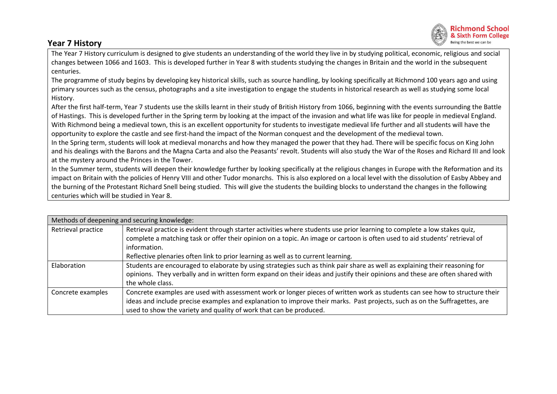## **Year 7 History**



The Year 7 History curriculum is designed to give students an understanding of the world they live in by studying political, economic, religious and social changes between 1066 and 1603. This is developed further in Year 8 with students studying the changes in Britain and the world in the subsequent centuries.

The programme of study begins by developing key historical skills, such as source handling, by looking specifically at Richmond 100 years ago and using primary sources such as the census, photographs and a site investigation to engage the students in historical research as well as studying some local History.

After the first half-term, Year 7 students use the skills learnt in their study of British History from 1066, beginning with the events surrounding the Battle of Hastings. This is developed further in the Spring term by looking at the impact of the invasion and what life was like for people in medieval England. With Richmond being a medieval town, this is an excellent opportunity for students to investigate medieval life further and all students will have the opportunity to explore the castle and see first-hand the impact of the Norman conquest and the development of the medieval town.

In the Spring term, students will look at medieval monarchs and how they managed the power that they had. There will be specific focus on King John and his dealings with the Barons and the Magna Carta and also the Peasants' revolt. Students will also study the War of the Roses and Richard III and look at the mystery around the Princes in the Tower.

In the Summer term, students will deepen their knowledge further by looking specifically at the religious changes in Europe with the Reformation and its impact on Britain with the policies of Henry VIII and other Tudor monarchs. This is also explored on a local level with the dissolution of Easby Abbey and the burning of the Protestant Richard Snell being studied. This will give the students the building blocks to understand the changes in the following centuries which will be studied in Year 8.

| Methods of deepening and securing knowledge: |                                                                                                                                                                                                                                                                                 |  |  |  |  |  |
|----------------------------------------------|---------------------------------------------------------------------------------------------------------------------------------------------------------------------------------------------------------------------------------------------------------------------------------|--|--|--|--|--|
| Retrieval practice                           | Retrieval practice is evident through starter activities where students use prior learning to complete a low stakes quiz,<br>complete a matching task or offer their opinion on a topic. An image or cartoon is often used to aid students' retrieval of                        |  |  |  |  |  |
|                                              | information.                                                                                                                                                                                                                                                                    |  |  |  |  |  |
|                                              | Reflective plenaries often link to prior learning as well as to current learning.                                                                                                                                                                                               |  |  |  |  |  |
| Elaboration                                  | Students are encouraged to elaborate by using strategies such as think pair share as well as explaining their reasoning for<br>opinions. They verbally and in written form expand on their ideas and justify their opinions and these are often shared with<br>the whole class. |  |  |  |  |  |
| Concrete examples                            | Concrete examples are used with assessment work or longer pieces of written work as students can see how to structure their                                                                                                                                                     |  |  |  |  |  |
|                                              | ideas and include precise examples and explanation to improve their marks. Past projects, such as on the Suffragettes, are                                                                                                                                                      |  |  |  |  |  |
|                                              | used to show the variety and quality of work that can be produced.                                                                                                                                                                                                              |  |  |  |  |  |